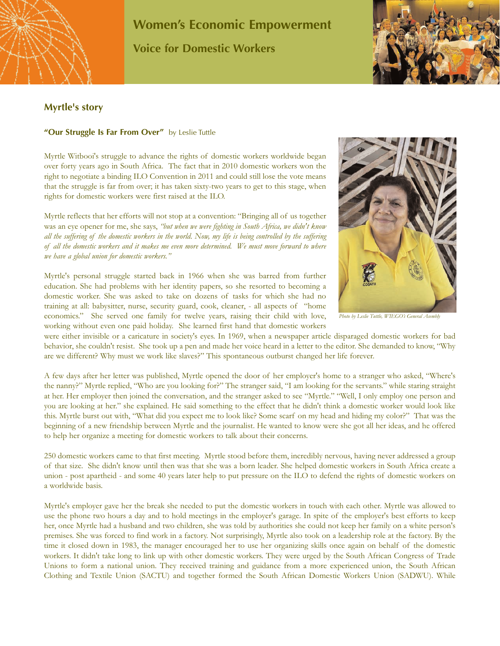

## **Women's Economic Empowerment Voice for Domestic Workers**



## **Myrtle's story**

## **"Our Struggle Is Far From Over"** by Leslie Tuttle

Myrtle Witbooi's struggle to advance the rights of domestic workers worldwide began over forty years ago in South Africa. The fact that in 2010 domestic workers won the right to negotiate a binding ILO Convention in 2011 and could still lose the vote means that the struggle is far from over; it has taken sixty-two years to get to this stage, when rights for domestic workers were first raised at the ILO.

Myrtle reflects that her efforts will not stop at a convention: "Bringing all of us together was an eye opener for me, she says, *"but when we were fighting in South Africa, we didn't know all the suffering of the domestic workers in the world. Now, my life is being controlled by the suffering of all the domestic workers and it makes me even more determined. We must move forward to where we have a global union for domestic workers."*

Myrtle's personal struggle started back in 1966 when she was barred from further education. She had problems with her identity papers, so she resorted to becoming a domestic worker. She was asked to take on dozens of tasks for which she had no training at all: babysitter, nurse, security guard, cook, cleaner, - all aspects of "home economics." She served one family for twelve years, raising their child with love, working without even one paid holiday. She learned first hand that domestic workers



*Photo by Leslie Tuttle, WIEGO's General Asembly*

were either invisible or a caricature in society's eyes. In 1969, when a newspaper article disparaged domestic workers for bad behavior, she couldn't resist. She took up a pen and made her voice heard in a letter to the editor. She demanded to know, "Why are we different? Why must we work like slaves?" This spontaneous outburst changed her life forever.

A few days after her letter was published, Myrtle opened the door of her employer's home to a stranger who asked, "Where's the nanny?" Myrtle replied, "Who are you looking for?" The stranger said, "I am looking for the servants." while staring straight at her. Her employer then joined the conversation, and the stranger asked to see "Myrtle." "Well, I only employ one person and you are looking at her." she explained. He said something to the effect that he didn't think a domestic worker would look like this. Myrtle burst out with, "What did you expect me to look like? Some scarf on my head and hiding my color?" That was the beginning of a new friendship between Myrtle and the journalist. He wanted to know were she got all her ideas, and he offered to help her organize a meeting for domestic workers to talk about their concerns.

250 domestic workers came to that first meeting. Myrtle stood before them, incredibly nervous, having never addressed a group of that size. She didn't know until then was that she was a born leader. She helped domestic workers in South Africa create a union - post apartheid - and some 40 years later help to put pressure on the ILO to defend the rights of domestic workers on a worldwide basis.

Myrtle's employer gave her the break she needed to put the domestic workers in touch with each other. Myrtle was allowed to use the phone two hours a day and to hold meetings in the employer's garage. In spite of the employer's best efforts to keep her, once Myrtle had a husband and two children, she was told by authorities she could not keep her family on a white person's premises. She was forced to find work in a factory. Not surprisingly, Myrtle also took on a leadership role at the factory. By the time it closed down in 1983, the manager encouraged her to use her organizing skills once again on behalf of the domestic workers. It didn't take long to link up with other domestic workers. They were urged by the South African Congress of Trade Unions to form a national union. They received training and guidance from a more experienced union, the South African Clothing and Textile Union (SACTU) and together formed the South African Domestic Workers Union (SADWU). While